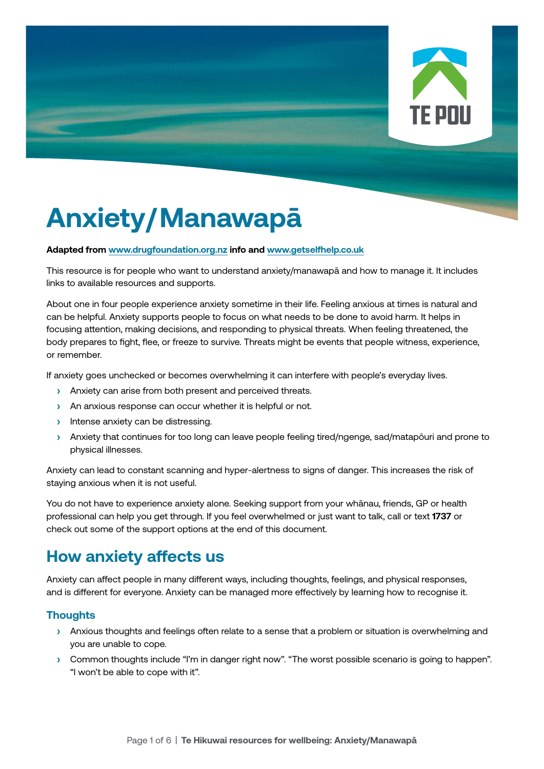

# **Anxiety/Manawapā**

#### **Adapted from [www.drugfoundation.org.nz](http://www.drugfoundation.org.nz) info and [www.getselfhelp.co.uk](http://www.getselfhelp.co.uk)**

This resource is for people who want to understand anxiety/manawapā and how to manage it. It includes links to available resources and supports.

About one in four people experience anxiety sometime in their life. Feeling anxious at times is natural and can be helpful. Anxiety supports people to focus on what needs to be done to avoid harm. It helps in focusing attention, making decisions, and responding to physical threats. When feeling threatened, the body prepares to fight, flee, or freeze to survive. Threats might be events that people witness, experience, or remember.

If anxiety goes unchecked or becomes overwhelming it can interfere with people's everyday lives.

- **›** Anxiety can arise from both present and perceived threats.
- **›** An anxious response can occur whether it is helpful or not.
- **›** Intense anxiety can be distressing.
- **›** Anxiety that continues for too long can leave people feeling tired/ngenge, sad/matapōuri and prone to physical illnesses.

Anxiety can lead to constant scanning and hyper-alertness to signs of danger. This increases the risk of staying anxious when it is not useful.

You do not have to experience anxiety alone. Seeking support from your whānau, friends, GP or health professional can help you get through. If you feel overwhelmed or just want to talk, call or text **1737** or check out some of the support options at the end of this document.

## **How anxiety affects us**

Anxiety can affect people in many different ways, including thoughts, feelings, and physical responses, and is different for everyone. Anxiety can be managed more effectively by learning how to recognise it.

#### **Thoughts**

- **›** Anxious thoughts and feelings often relate to a sense that a problem or situation is overwhelming and you are unable to cope.
- **›** Common thoughts include "I'm in danger right now". "The worst possible scenario is going to happen". "I won't be able to cope with it".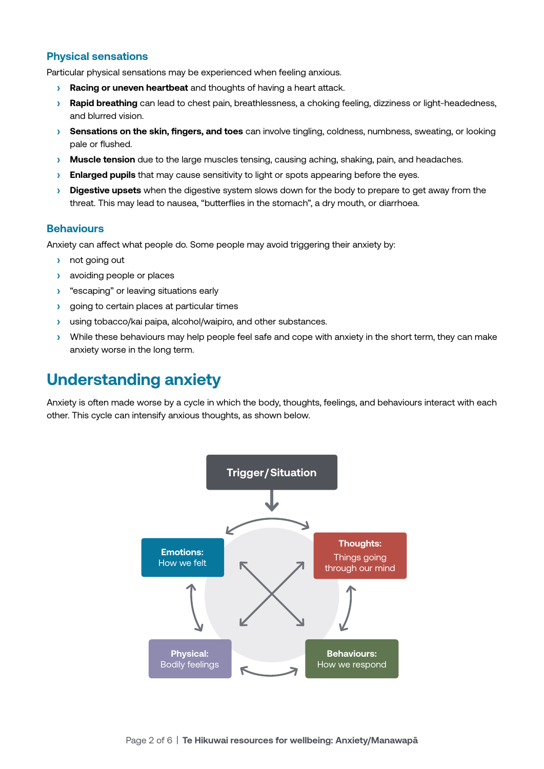#### **Physical sensations**

Particular physical sensations may be experienced when feeling anxious.

- **› Racing or uneven heartbeat** and thoughts of having a heart attack.
- **› Rapid breathing** can lead to chest pain, breathlessness, a choking feeling, dizziness or light-headedness, and blurred vision.
- **› Sensations on the skin, fingers, and toes** can involve tingling, coldness, numbness, sweating, or looking pale or flushed.
- **› Muscle tension** due to the large muscles tensing, causing aching, shaking, pain, and headaches.
- **› Enlarged pupils** that may cause sensitivity to light or spots appearing before the eyes.
- **› Digestive upsets** when the digestive system slows down for the body to prepare to get away from the threat. This may lead to nausea, "butterflies in the stomach", a dry mouth, or diarrhoea.

#### **Behaviours**

Anxiety can affect what people do. Some people may avoid triggering their anxiety by:

- **›** not going out
- **›** avoiding people or places
- **›** "escaping" or leaving situations early
- **›** going to certain places at particular times
- **›** using tobacco/kai paipa, alcohol/waipiro, and other substances.
- **›** While these behaviours may help people feel safe and cope with anxiety in the short term, they can make anxiety worse in the long term.

### **Understanding anxiety**

Anxiety is often made worse by a cycle in which the body, thoughts, feelings, and behaviours interact with each other. This cycle can intensify anxious thoughts, as shown below.

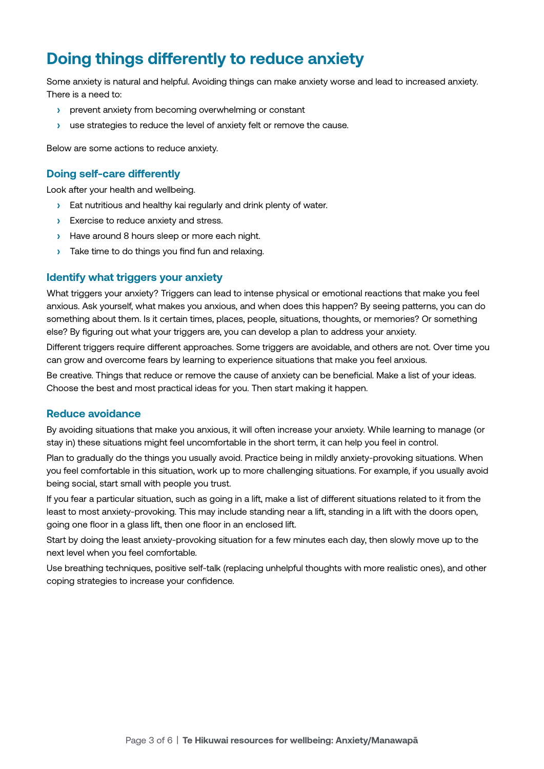## **Doing things differently to reduce anxiety**

Some anxiety is natural and helpful. Avoiding things can make anxiety worse and lead to increased anxiety. There is a need to:

- **›** prevent anxiety from becoming overwhelming or constant
- **›** use strategies to reduce the level of anxiety felt or remove the cause.

Below are some actions to reduce anxiety.

#### **Doing self-care differently**

Look after your health and wellbeing.

- **›** Eat nutritious and healthy kai regularly and drink plenty of water.
- **›** Exercise to reduce anxiety and stress.
- **›** Have around 8 hours sleep or more each night.
- **›** Take time to do things you find fun and relaxing.

#### **Identify what triggers your anxiety**

What triggers your anxiety? Triggers can lead to intense physical or emotional reactions that make you feel anxious. Ask yourself, what makes you anxious, and when does this happen? By seeing patterns, you can do something about them. Is it certain times, places, people, situations, thoughts, or memories? Or something else? By figuring out what your triggers are, you can develop a plan to address your anxiety.

Different triggers require different approaches. Some triggers are avoidable, and others are not. Over time you can grow and overcome fears by learning to experience situations that make you feel anxious.

Be creative. Things that reduce or remove the cause of anxiety can be beneficial. Make a list of your ideas. Choose the best and most practical ideas for you. Then start making it happen.

#### **Reduce avoidance**

By avoiding situations that make you anxious, it will often increase your anxiety. While learning to manage (or stay in) these situations might feel uncomfortable in the short term, it can help you feel in control.

Plan to gradually do the things you usually avoid. Practice being in mildly anxiety-provoking situations. When you feel comfortable in this situation, work up to more challenging situations. For example, if you usually avoid being social, start small with people you trust.

If you fear a particular situation, such as going in a lift, make a list of different situations related to it from the least to most anxiety-provoking. This may include standing near a lift, standing in a lift with the doors open, going one floor in a glass lift, then one floor in an enclosed lift.

Start by doing the least anxiety-provoking situation for a few minutes each day, then slowly move up to the next level when you feel comfortable.

Use breathing techniques, positive self-talk (replacing unhelpful thoughts with more realistic ones), and other coping strategies to increase your confidence.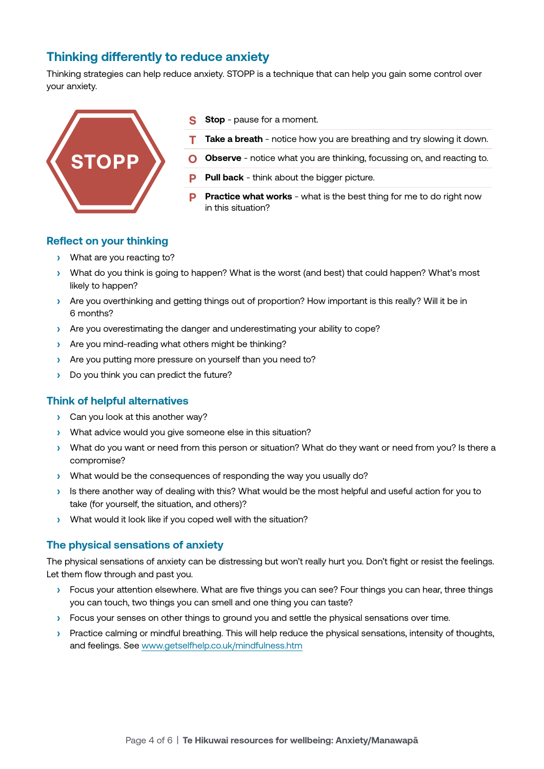#### **Thinking differently to reduce anxiety**

Thinking strategies can help reduce anxiety. STOPP is a technique that can help you gain some control over your anxiety.



- **Stop** pause for a moment.
- **T Take a breath** notice how you are breathing and try slowing it down.
- **Observe** notice what you are thinking, focussing on, and reacting to.
- **Pull back** think about the bigger picture.
- **Practice what works** what is the best thing for me to do right now in this situation?

#### **Reflect on your thinking**

- **›** What are you reacting to?
- **›** What do you think is going to happen? What is the worst (and best) that could happen? What's most likely to happen?
- **›** Are you overthinking and getting things out of proportion? How important is this really? Will it be in 6 months?
- **›** Are you overestimating the danger and underestimating your ability to cope?
- **›** Are you mind-reading what others might be thinking?
- **›** Are you putting more pressure on yourself than you need to?
- **›** Do you think you can predict the future?

#### **Think of helpful alternatives**

- **›** Can you look at this another way?
- **›** What advice would you give someone else in this situation?
- **›** What do you want or need from this person or situation? What do they want or need from you? Is there a compromise?
- **›** What would be the consequences of responding the way you usually do?
- **›** Is there another way of dealing with this? What would be the most helpful and useful action for you to take (for yourself, the situation, and others)?
- **›** What would it look like if you coped well with the situation?

#### **The physical sensations of anxiety**

The physical sensations of anxiety can be distressing but won't really hurt you. Don't fight or resist the feelings. Let them flow through and past you.

- **›** Focus your attention elsewhere. What are five things you can see? Four things you can hear, three things you can touch, two things you can smell and one thing you can taste?
- **›** Focus your senses on other things to ground you and settle the physical sensations over time.
- **›** Practice calming or mindful breathing. This will help reduce the physical sensations, intensity of thoughts, and feelings. See [www.getselfhelp.co.uk/mindfulness.htm](http://www.getselfhelp.co.uk/mindfulness.htm)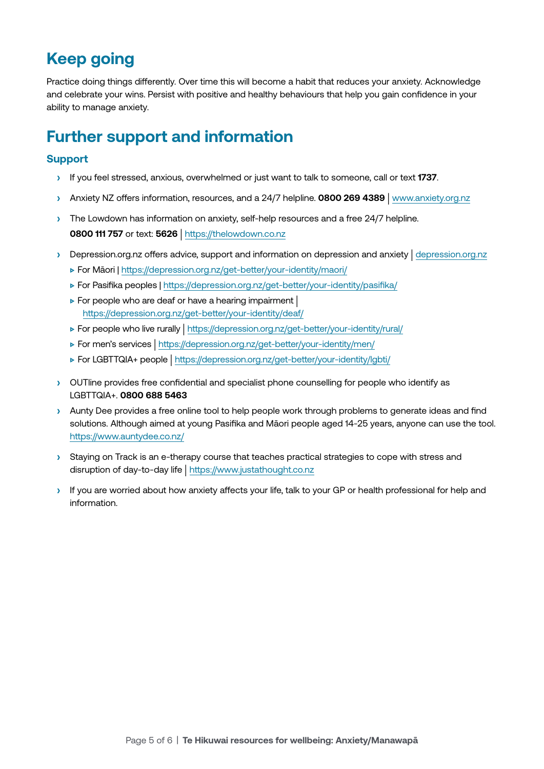# **Keep going**

Practice doing things differently. Over time this will become a habit that reduces your anxiety. Acknowledge and celebrate your wins. Persist with positive and healthy behaviours that help you gain confidence in your ability to manage anxiety.

## **Further support and information**

#### **Support**

- **›** If you feel stressed, anxious, overwhelmed or just want to talk to someone, call or text **1737**.
- **›** Anxiety NZ offers information, resources, and a 24/7 helpline. **0800 269 4389** | [www.anxiety.org.nz](http://www.anxiety.org.nz)
- **›** The Lowdown has information on anxiety, self-help resources and a free 24/7 helpline. **0800 111 757** or text: **5626** | <https://thelowdown.co.nz>
- **›** Depression.org.nz offers advice, support and information on depression and anxiety | [depression.org.nz](http://depression.org.nz)
	- **▷** For Māori | <https://depression.org.nz/get-better/your-identity/maori/>
	- **▷** For Pasifika peoples |<https://depression.org.nz/get-better/your-identity/pasifika/>
	- **▷** For people who are deaf or have a hearing impairment | <https://depression.org.nz/get-better/your-identity/deaf/>
	- **▷** For people who live rurally | <https://depression.org.nz/get-better/your-identity/rural/>
	- **▷** For men's services | <https://depression.org.nz/get-better/your-identity/men/>
	- **▷** For LGBTTQIA+ people | <https://depression.org.nz/get-better/your-identity/lgbti/>
- **›** OUTline provides free confidential and specialist phone counselling for people who identify as LGBTTQIA+. **0800 688 5463**
- **›** Aunty Dee provides a free online tool to help people work through problems to generate ideas and find solutions. Although aimed at young Pasifika and Māori people aged 14-25 years, anyone can use the tool. <https://www.auntydee.co.nz/>
- **›** Staying on Track is an e-therapy course that teaches practical strategies to cope with stress and disruption of day-to-day life | <https://www.justathought.co.nz>
- **›** If you are worried about how anxiety affects your life, talk to your GP or health professional for help and information.